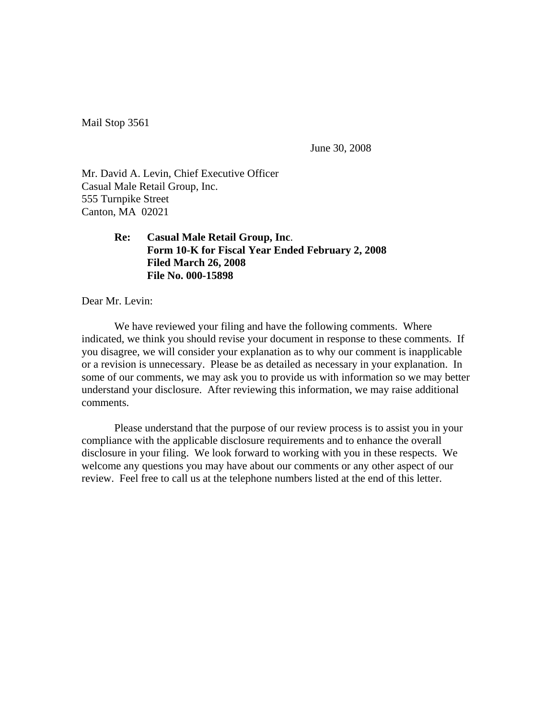Mail Stop 3561

June 30, 2008

Mr. David A. Levin, Chief Executive Officer Casual Male Retail Group, Inc. 555 Turnpike Street Canton, MA 02021

> **Re: Casual Male Retail Group, Inc**. **Form 10-K for Fiscal Year Ended February 2, 2008 Filed March 26, 2008 File No. 000-15898**

Dear Mr. Levin:

 We have reviewed your filing and have the following comments. Where indicated, we think you should revise your document in response to these comments. If you disagree, we will consider your explanation as to why our comment is inapplicable or a revision is unnecessary. Please be as detailed as necessary in your explanation. In some of our comments, we may ask you to provide us with information so we may better understand your disclosure. After reviewing this information, we may raise additional comments.

 Please understand that the purpose of our review process is to assist you in your compliance with the applicable disclosure requirements and to enhance the overall disclosure in your filing. We look forward to working with you in these respects. We welcome any questions you may have about our comments or any other aspect of our review. Feel free to call us at the telephone numbers listed at the end of this letter.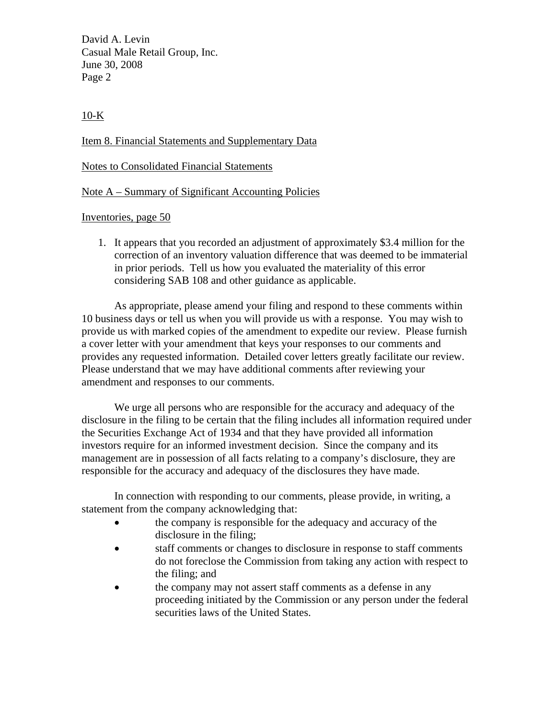David A. Levin Casual Male Retail Group, Inc. June 30, 2008 Page 2

 $10-K$ 

Item 8. Financial Statements and Supplementary Data

Notes to Consolidated Financial Statements

Note A – Summary of Significant Accounting Policies

Inventories, page 50

1. It appears that you recorded an adjustment of approximately \$3.4 million for the correction of an inventory valuation difference that was deemed to be immaterial in prior periods. Tell us how you evaluated the materiality of this error considering SAB 108 and other guidance as applicable.

As appropriate, please amend your filing and respond to these comments within 10 business days or tell us when you will provide us with a response. You may wish to provide us with marked copies of the amendment to expedite our review. Please furnish a cover letter with your amendment that keys your responses to our comments and provides any requested information. Detailed cover letters greatly facilitate our review. Please understand that we may have additional comments after reviewing your amendment and responses to our comments.

We urge all persons who are responsible for the accuracy and adequacy of the disclosure in the filing to be certain that the filing includes all information required under the Securities Exchange Act of 1934 and that they have provided all information investors require for an informed investment decision. Since the company and its management are in possession of all facts relating to a company's disclosure, they are responsible for the accuracy and adequacy of the disclosures they have made.

In connection with responding to our comments, please provide, in writing, a statement from the company acknowledging that:

- the company is responsible for the adequacy and accuracy of the disclosure in the filing;
- staff comments or changes to disclosure in response to staff comments do not foreclose the Commission from taking any action with respect to the filing; and
- the company may not assert staff comments as a defense in any proceeding initiated by the Commission or any person under the federal securities laws of the United States.